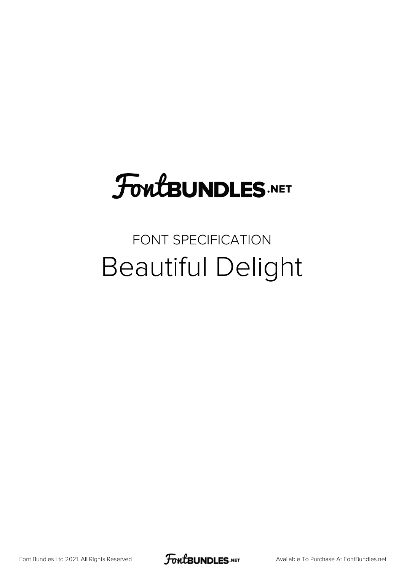# **FoutBUNDLES.NET**

# FONT SPECIFICATION Beautiful Delight

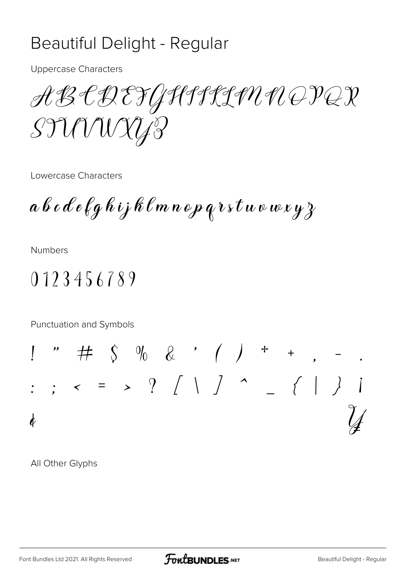### Beautiful Delight - Regular

**Uppercase Characters** 

ABCDEFGHIJLIN NOPQR STUVUXYP

Lowercase Characters

 $a\, b\, c\, d\, e\, \ell\, g\, h\, i\, j\, k\, \ell\, m\, n\, o\, p\, q\, v\, s\, t\, u\, v\, w\, x\, y\, z$ 

**Numbers** 

## 0123456789

Punctuation and Symbols

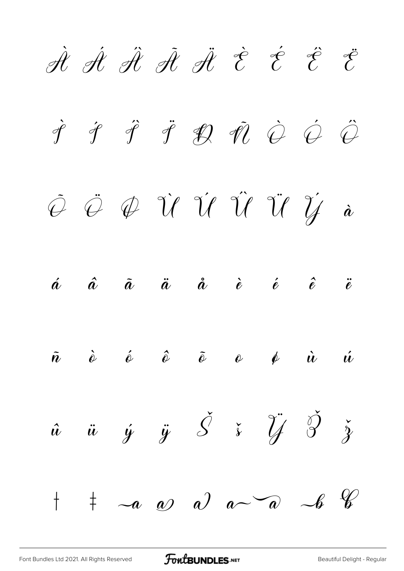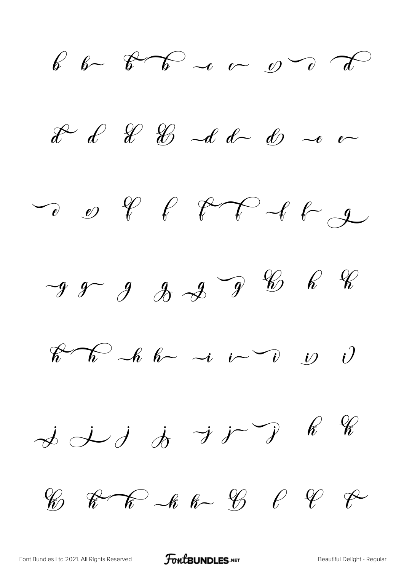b b  $\beta$  b  $\sim$  c  $\sigma$  d  $x^2$  of  $x^2$   $x^3$   $x^4$  of  $x^5$   $x^6$  or DO PPFFFF  $-9999328288888$  $\begin{bmatrix} 1 & \sqrt{2} & \sqrt{2} & \sqrt{2} & \sqrt{2} & \sqrt{2} & \sqrt{2} & \sqrt{2} & \sqrt{2} & \sqrt{2} & \sqrt{2} & \sqrt{2} & \sqrt{2} & \sqrt{2} & \sqrt{2} & \sqrt{2} & \sqrt{2} & \sqrt{2} & \sqrt{2} & \sqrt{2} & \sqrt{2} & \sqrt{2} & \sqrt{2} & \sqrt{2} & \sqrt{2} & \sqrt{2} & \sqrt{2} & \sqrt{2} & \sqrt{2} & \sqrt{2} & \sqrt{2} & \sqrt{2} & \sqrt{2} & \sqrt{2} & \sqrt{2} & \sqrt{2} & \$  $\dot{\phi}$  is  $\dot{\phi}$  if  $\dot{\phi}$  and  $\dot{\phi}$ 

 $\%$   $\mathcal{R}$   $\mathcal{R}$   $\sim$   $\kappa$   $\kappa$   $\sim$   $\%$   $\ell$   $\ell$   $\ell$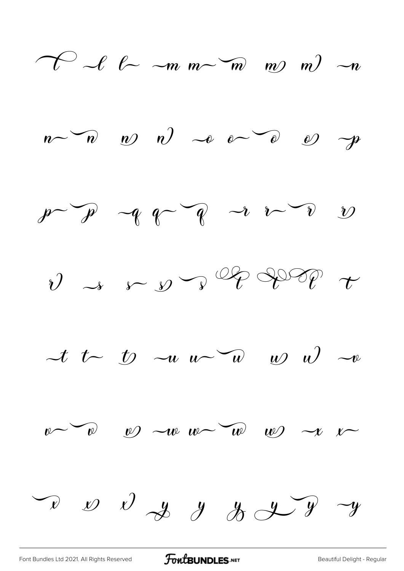









 $\begin{array}{ccccccccc}\n\sqrt{x} & \omega & \omega & \omega & y & \omega & \omega & \omega & \omega & \omega\n\end{array}$ 

[Font Bundles Ltd 2021. All Rights Reserved](https://fontbundles.net/) **FoutBUNDLES.NET** Seautiful Delight - Regular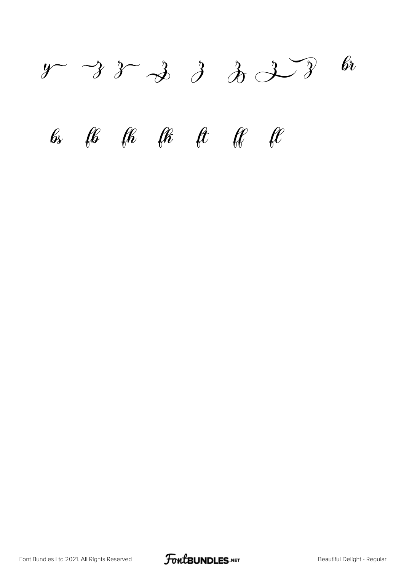$y \rightarrow 3 \rightarrow 3 \rightarrow 3 \rightarrow 3 \rightarrow 8$  $f$   $f$   $f$   $f$   $f$   $f$   $f$   $f$   $f$ 

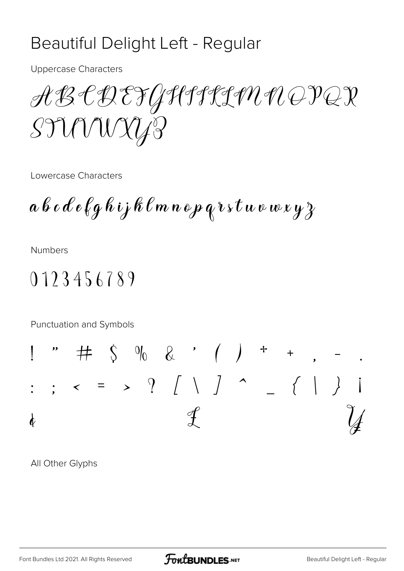#### Beautiful Delight Left - Regular

**Uppercase Characters** 

ABCDEFGHIJLIN NOPQR STUUNYA

Lowercase Characters

 $a\, b\, c\, d\, e\, \ell\, g\, h\, i$ j k $\,\ell\, m\, n\, o\, p\, q\, v\, s\, t\, w\, v\, w\, x\, y\, z$ 

**Numbers** 

# 0123456789

Punctuation and Symbols

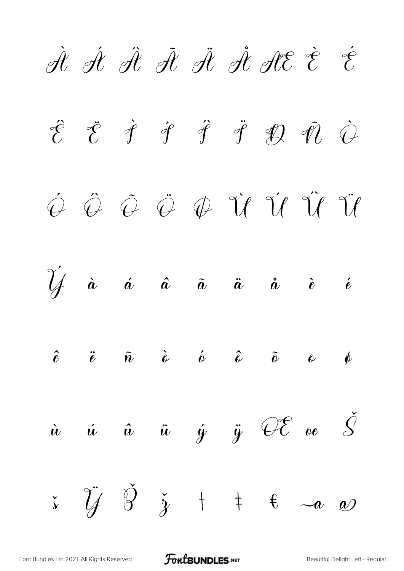

[Font Bundles Ltd 2021. All Rights Reserved](https://fontbundles.net/) **FoutBUNDLES.NET** [Beautiful Delight Left - Regular](https://fontbundles.net/)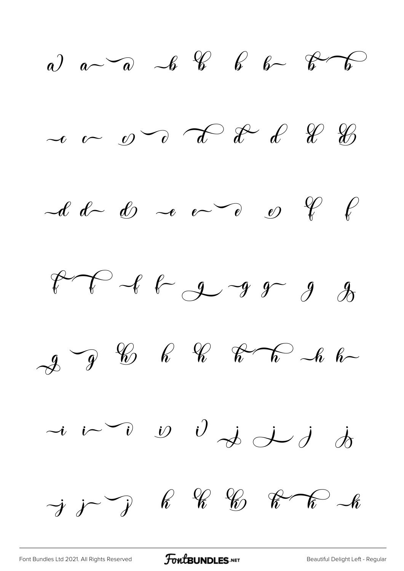

[Font Bundles Ltd 2021. All Rights Reserved](https://fontbundles.net/) **FoutBUNDLES.NET** [Beautiful Delight Left - Regular](https://fontbundles.net/)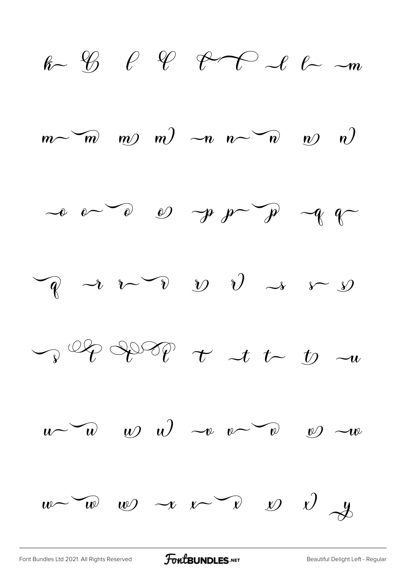

[Font Bundles Ltd 2021. All Rights Reserved](https://fontbundles.net/) **FoutBUNDLES.NET** [Beautiful Delight Left - Regular](https://fontbundles.net/)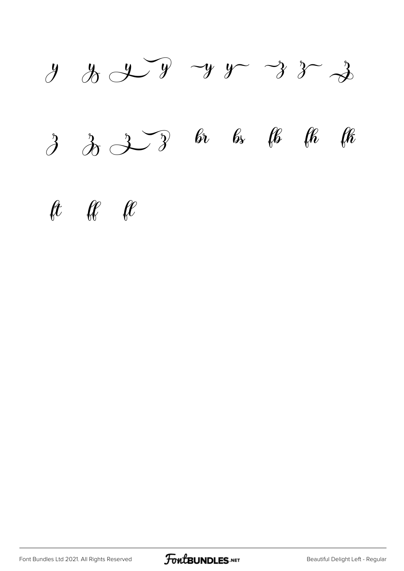

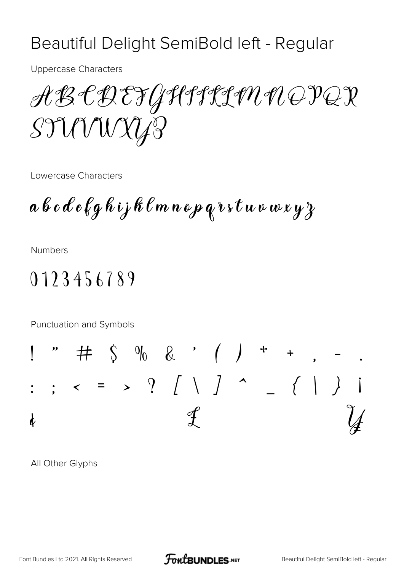#### Beautiful Delight SemiBold left - Regular

**Uppercase Characters** 

ABCDEFGHIJLIN NOPQR STUUNYA

Lowercase Characters

 $a\, b\, c\, d\, e\, \ell\, g\, h\, \iota$ j k $\,\ell\, m\, n\, o\, p\, q\, v\, s\, t\, u\, v\, w\, x\, y\, z$ 

**Numbers** 

# 0123456789

Punctuation and Symbols

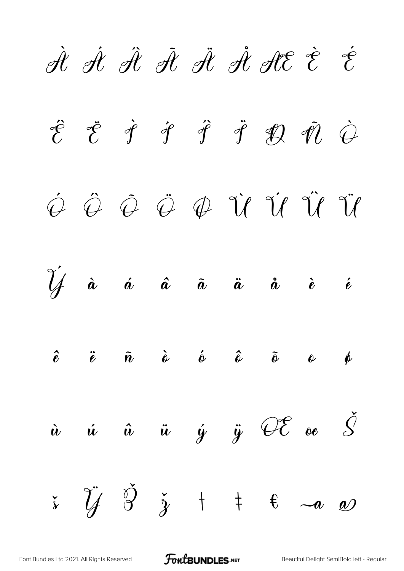

[Font Bundles Ltd 2021. All Rights Reserved](https://fontbundles.net/) **FoutBUNDLES.NET** [Beautiful Delight SemiBold left - Regular](https://fontbundles.net/)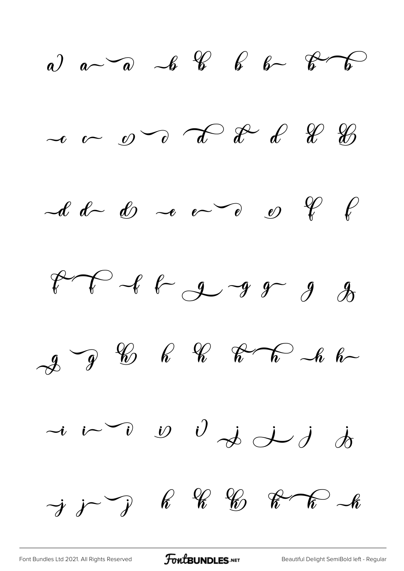a)  $a-\overline{a}$   $-\overline{b}$   $\overline{\mathscr{C}}$   $\overline{\mathscr{C}}$   $\overline{\mathscr{C}}$   $\overline{\mathscr{C}}$  $\sim$   $\sim$   $\sim$   $\sim$   $\sim$   $\approx$   $\ell$   $\ell$   $\%$  $-d-d$  d  $-e$   $e^0$   $e$   $g$   $f$  $P - 16 - 99$  $-2$   $-9$   $-6$   $-6$   $-7$   $-6$  $\rightarrow$   $i\rightarrow$   $i$   $j$   $j$   $j$   $j$   $k$  $\rightarrow j$   $\rightarrow$   $\ell$   $\ell$   $\ell$   $\ell$   $\kappa$   $\kappa$   $\ell$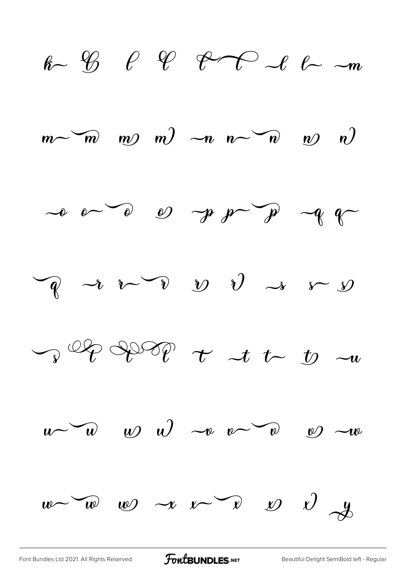

[Font Bundles Ltd 2021. All Rights Reserved](https://fontbundles.net/) **FoutBUNDLES.NET** [Beautiful Delight SemiBold left - Regular](https://fontbundles.net/)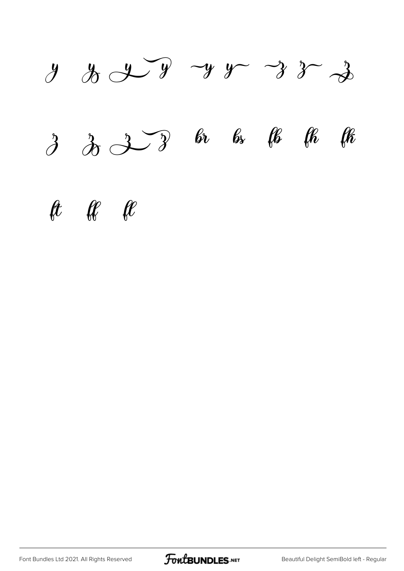

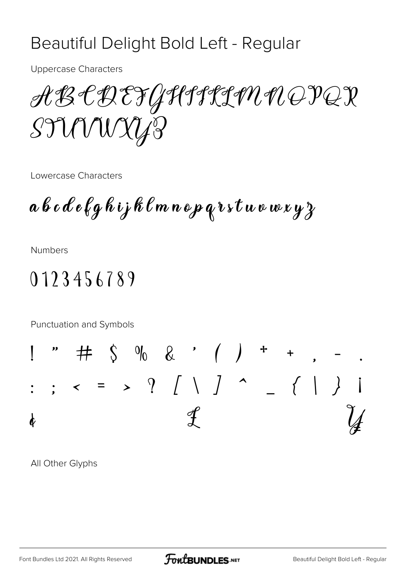#### Beautiful Delight Bold Left - Regular

**Uppercase Characters** 

ABCDEFGHILLMNOPQR STUVWXY3

Lowercase Characters

 $a\, b\, c\, d\, e\, \ell\, g\, h\, i$ j k $\,\ell\, m\, n\, o\, p\, q\, r\, s\, t\, u\, v\, w\, x\, y\, z$ 

**Numbers** 

# 0123456789

Punctuation and Symbols

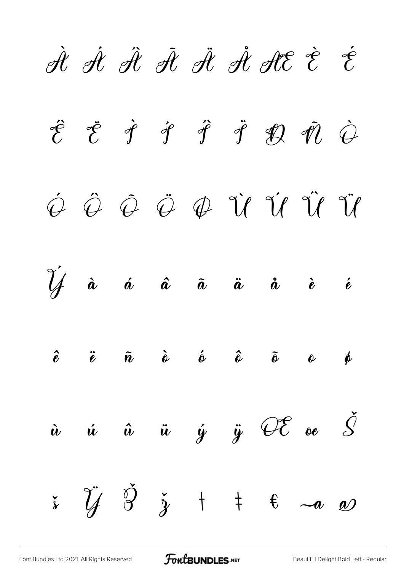

[Font Bundles Ltd 2021. All Rights Reserved](https://fontbundles.net/) **FoutBUNDLES.NET** [Beautiful Delight Bold Left - Regular](https://fontbundles.net/)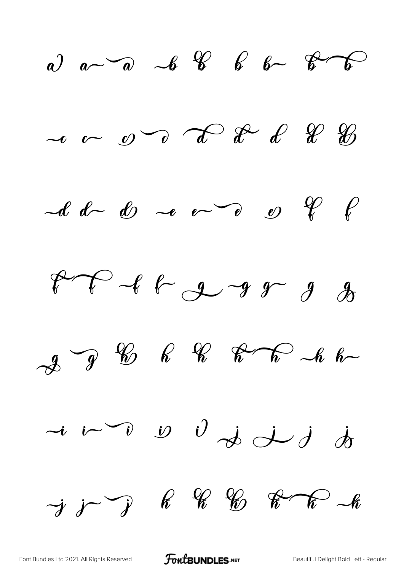

[Font Bundles Ltd 2021. All Rights Reserved](https://fontbundles.net/) **FoutBUNDLES.NET** [Beautiful Delight Bold Left - Regular](https://fontbundles.net/)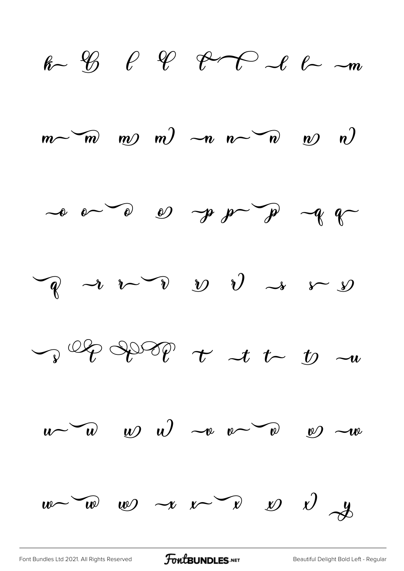

[Font Bundles Ltd 2021. All Rights Reserved](https://fontbundles.net/) **FoutBUNDLES.NET** [Beautiful Delight Bold Left - Regular](https://fontbundles.net/)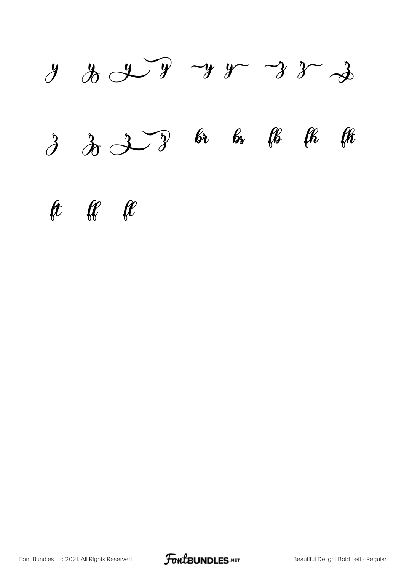![](_page_20_Picture_0.jpeg)

![](_page_20_Picture_2.jpeg)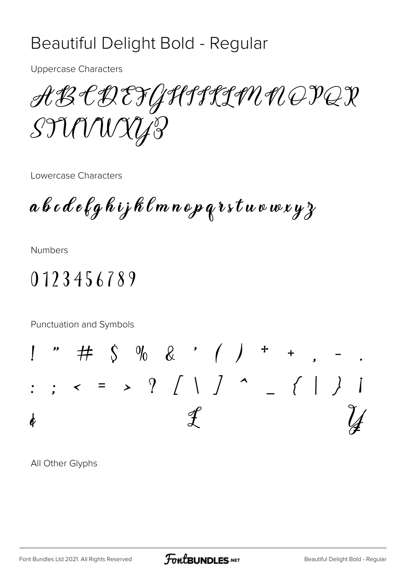#### Beautiful Delight Bold - Regular

**Uppercase Characters** 

ABCDEFGHIJCHN NOPQX STUVUXYP

Lowercase Characters

 $a\, b\, c\, d\, e\, \ell\, g\, h\, i\, j\, h\, \ell\, m\, n\, o\, p\, q\, r\, s\, t\, u\, v\, w\, x\, y\, z$ 

**Numbers** 

# 0123456789

Punctuation and Symbols

![](_page_21_Figure_8.jpeg)

![](_page_21_Picture_11.jpeg)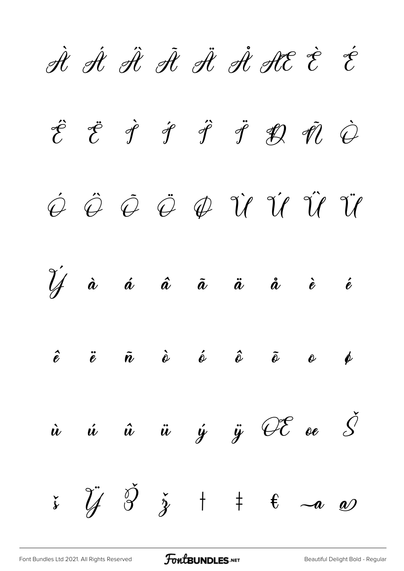![](_page_22_Picture_0.jpeg)

[Font Bundles Ltd 2021. All Rights Reserved](https://fontbundles.net/) **FoutBUNDLES.NET** [Beautiful Delight Bold - Regular](https://fontbundles.net/)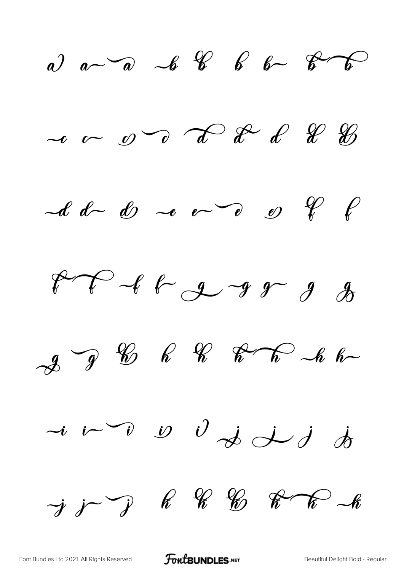a)  $a-\overline{a}$   $-\overline{b}$   $\overline{b}$   $\overline{b}$   $\overline{b}$   $\overline{b}$  $\sim$   $\sim$   $\infty$   $\sim$   $\sim$   $\approx$   $\ell$   $\ell$   $\ell$  $-d-d$  do  $-e$  o  $e$  o  $e$  of  $f$  $99999777778888$  $\mathcal{A}$   $\mathcal{C}$   $\mathcal{C}$   $\mathcal{C}$   $\mathcal{C}$   $\mathcal{C}$   $\mathcal{C}$   $\mathcal{C}$   $\mathcal{C}$   $\mathcal{C}$  $\rightarrow$   $i\rightarrow$   $\rightarrow$   $j\rightarrow j\rightarrow j$  $\rightarrow$  j  $\rightarrow$  k k  $\%$  k  $\rightarrow$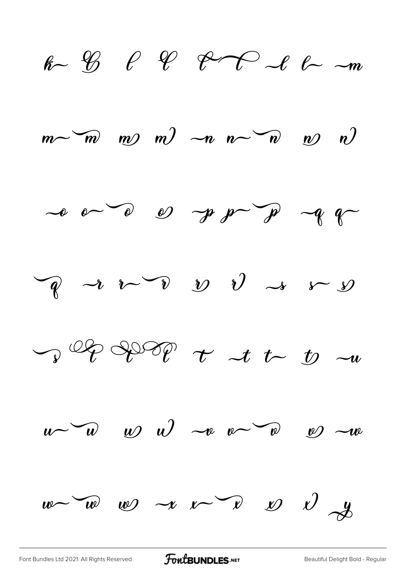$k\sim$   $\frac{1}{2}$   $\ell$   $\frac{1}{2}$   $\ell$   $\frac{1}{2}$   $\ell$   $\ell$   $\frac{1}{2}$   $\frac{1}{2}$  $\begin{pmatrix} m & m & m \end{pmatrix}$   $\begin{pmatrix} -n & n \\ m & m \end{pmatrix}$   $\begin{pmatrix} n & m \\ m & m \end{pmatrix}$  $\sim$   $\circ$   $\sim$   $\circ$   $\circ$   $\sim$   $\circ$   $\circ$   $\sim$   $\circ$   $\sim$   $\circ$  $\overline{P}$  a  $\overline{V}$   $\overline{V}$   $\overline{V}$   $\overline{V}$   $\rightarrow$   $\overline{V}$  $\int_{\mathcal{V}} \mathcal{Q} \mathcal{P} \mathcal{P} \mathcal{P} \mathcal{P}$   $\tau$   $\tau$   $\tau$   $\tau$   $\tau$  $u \sim w$  w  $v$   $\sim v \sim v$   $\sim w$  $w\sim w$   $w$   $\sim$   $v\sim$   $v$   $\sim$   $v$